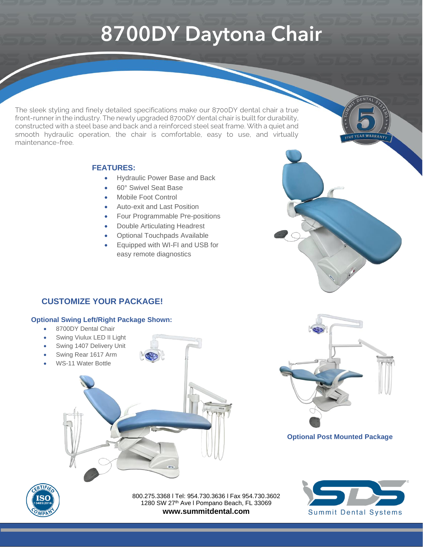## **8700DY Daytona Chair**

The sleek styling and finely detailed specifications make our 8700DY dental chair a true front-runner in the industry. The newly upgraded 8700DY dental chair is built for durability, constructed with a steel base and back and a reinforced steel seat frame. With a quiet and smooth hydraulic operation, the chair is comfortable, easy to use, and virtually maintenance-free.

#### **FEATURES:**

- Hydraulic Power Base and Back
- 60° Swivel Seat Base
- Mobile Foot Control
- Auto-exit and Last Position
- Four Programmable Pre-positions
- Double Articulating Headrest
- Optional Touchpads Available
- Equipped with WI-FI and USB for easy remote diagnostics

### **CUSTOMIZE YOUR PACKAGE!**

#### **Optional Swing Left/Right Package Shown:**

- 8700DY Dental Chair
- Swing Viulux LED II Light
- Swing 1407 Delivery Unit
- Swing Rear 1617 Arm
- WS-11 Water Bottle



#### **Optional Post Mounted Package**



800.275.3368 l Tel: 954.730.3636 l Fax 954.730.3602 1280 SW 27<sup>th</sup> Ave I Pompano Beach, FL 33069 **www.summitdental.com**